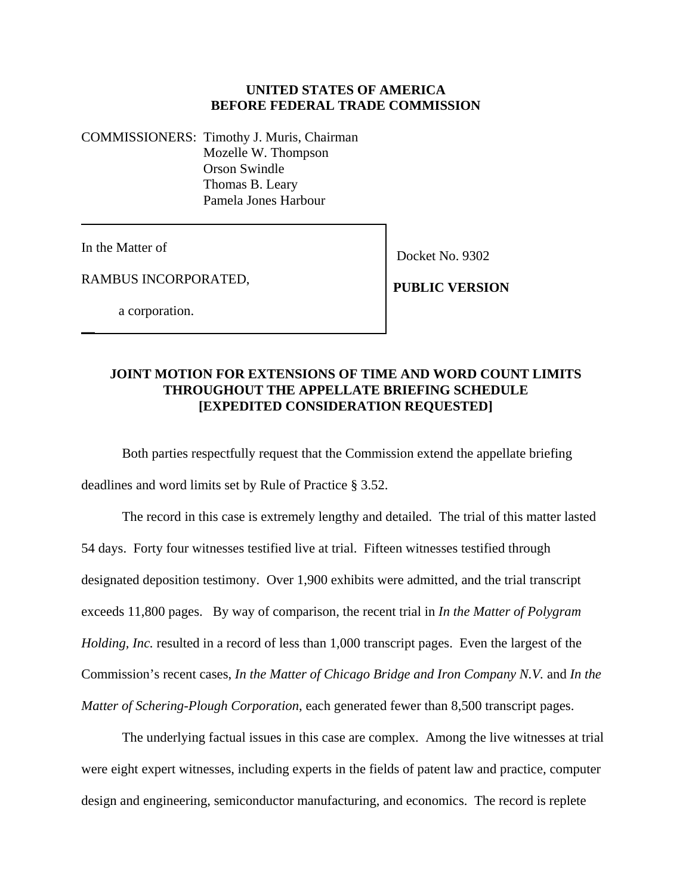## **UNITED STATES OF AMERICA BEFORE FEDERAL TRADE COMMISSION**

COMMISSIONERS: Timothy J. Muris, Chairman Mozelle W. Thompson Orson Swindle Thomas B. Leary Pamela Jones Harbour

In the Matter of

 $\overline{\phantom{a}}$ 

Docket No. 9302

RAMBUS INCORPORATED,

**PUBLIC VERSION**

a corporation.

## **JOINT MOTION FOR EXTENSIONS OF TIME AND WORD COUNT LIMITS THROUGHOUT THE APPELLATE BRIEFING SCHEDULE [EXPEDITED CONSIDERATION REQUESTED]**

 Both parties respectfully request that the Commission extend the appellate briefing deadlines and word limits set by Rule of Practice § 3.52.

The record in this case is extremely lengthy and detailed. The trial of this matter lasted 54 days. Forty four witnesses testified live at trial. Fifteen witnesses testified through designated deposition testimony. Over 1,900 exhibits were admitted, and the trial transcript exceeds 11,800 pages. By way of comparison, the recent trial in *In the Matter of Polygram Holding, Inc.* resulted in a record of less than 1,000 transcript pages. Even the largest of the Commission's recent cases, *In the Matter of Chicago Bridge and Iron Company N.V.* and *In the Matter of Schering-Plough Corporation*, each generated fewer than 8,500 transcript pages.

The underlying factual issues in this case are complex. Among the live witnesses at trial were eight expert witnesses, including experts in the fields of patent law and practice, computer design and engineering, semiconductor manufacturing, and economics. The record is replete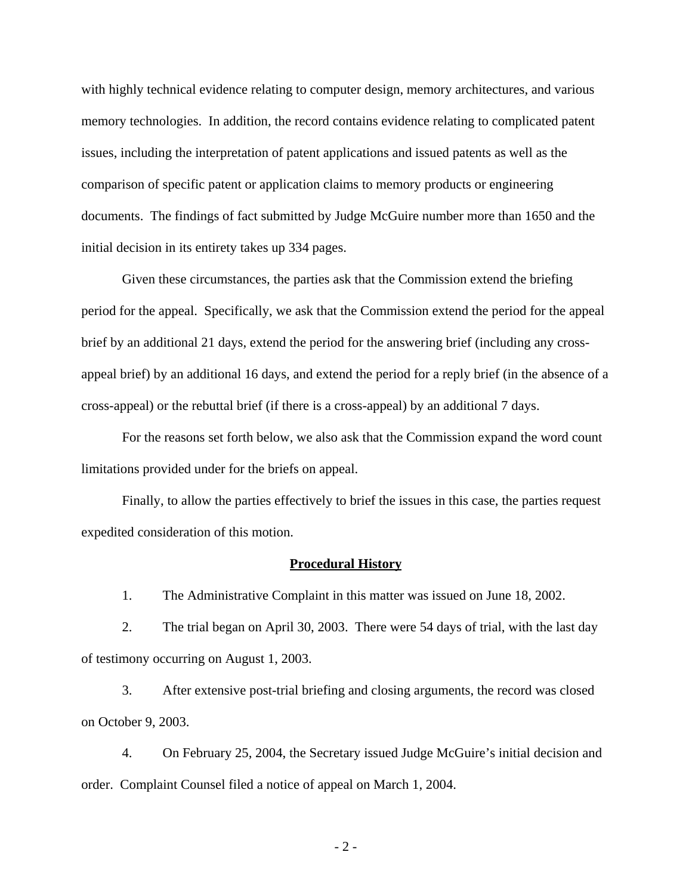with highly technical evidence relating to computer design, memory architectures, and various memory technologies. In addition, the record contains evidence relating to complicated patent issues, including the interpretation of patent applications and issued patents as well as the comparison of specific patent or application claims to memory products or engineering documents. The findings of fact submitted by Judge McGuire number more than 1650 and the initial decision in its entirety takes up 334 pages.

Given these circumstances, the parties ask that the Commission extend the briefing period for the appeal. Specifically, we ask that the Commission extend the period for the appeal brief by an additional 21 days, extend the period for the answering brief (including any crossappeal brief) by an additional 16 days, and extend the period for a reply brief (in the absence of a cross-appeal) or the rebuttal brief (if there is a cross-appeal) by an additional 7 days.

For the reasons set forth below, we also ask that the Commission expand the word count limitations provided under for the briefs on appeal.

Finally, to allow the parties effectively to brief the issues in this case, the parties request expedited consideration of this motion.

#### **Procedural History**

1. The Administrative Complaint in this matter was issued on June 18, 2002.

2. The trial began on April 30, 2003. There were 54 days of trial, with the last day of testimony occurring on August 1, 2003.

3. After extensive post-trial briefing and closing arguments, the record was closed on October 9, 2003.

4. On February 25, 2004, the Secretary issued Judge McGuire's initial decision and order. Complaint Counsel filed a notice of appeal on March 1, 2004.

- 2 -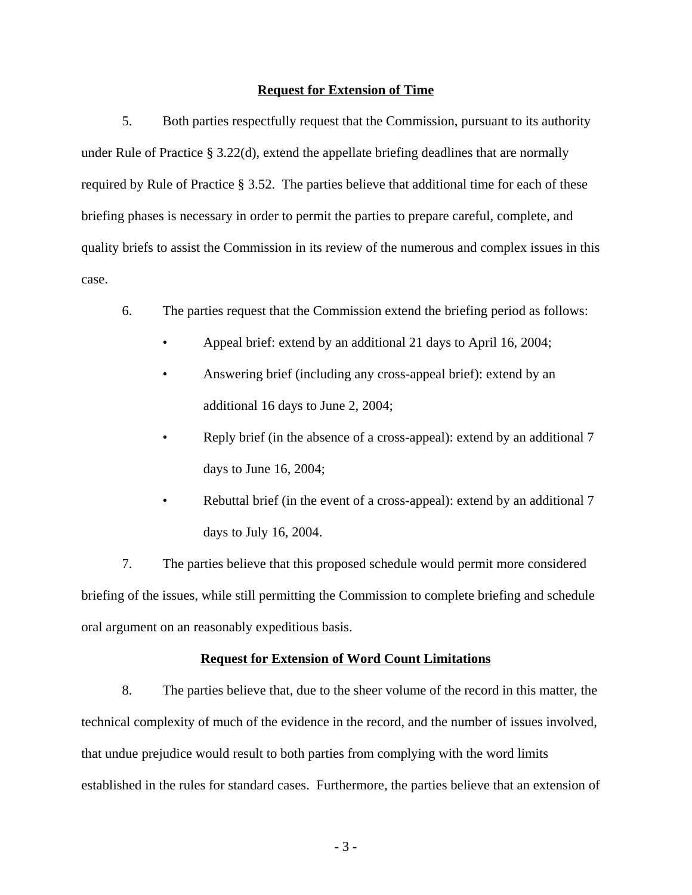#### **Request for Extension of Time**

5. Both parties respectfully request that the Commission, pursuant to its authority under Rule of Practice § 3.22(d), extend the appellate briefing deadlines that are normally required by Rule of Practice § 3.52. The parties believe that additional time for each of these briefing phases is necessary in order to permit the parties to prepare careful, complete, and quality briefs to assist the Commission in its review of the numerous and complex issues in this case.

- 6. The parties request that the Commission extend the briefing period as follows:
	- Appeal brief: extend by an additional 21 days to April 16, 2004;
	- Answering brief (including any cross-appeal brief): extend by an additional 16 days to June 2, 2004;
	- Reply brief (in the absence of a cross-appeal): extend by an additional 7 days to June 16, 2004;
	- Rebuttal brief (in the event of a cross-appeal): extend by an additional 7 days to July 16, 2004.

7. The parties believe that this proposed schedule would permit more considered briefing of the issues, while still permitting the Commission to complete briefing and schedule oral argument on an reasonably expeditious basis.

### **Request for Extension of Word Count Limitations**

8. The parties believe that, due to the sheer volume of the record in this matter, the technical complexity of much of the evidence in the record, and the number of issues involved, that undue prejudice would result to both parties from complying with the word limits established in the rules for standard cases. Furthermore, the parties believe that an extension of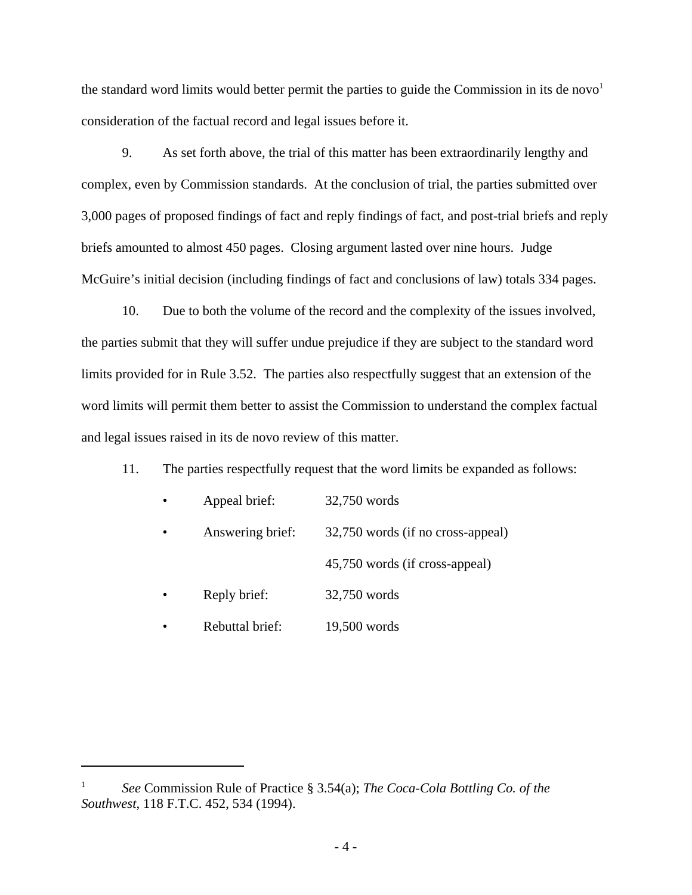the standard word limits would better permit the parties to guide the Commission in its de novo<sup>1</sup> consideration of the factual record and legal issues before it.

9. As set forth above, the trial of this matter has been extraordinarily lengthy and complex, even by Commission standards. At the conclusion of trial, the parties submitted over 3,000 pages of proposed findings of fact and reply findings of fact, and post-trial briefs and reply briefs amounted to almost 450 pages. Closing argument lasted over nine hours. Judge McGuire's initial decision (including findings of fact and conclusions of law) totals 334 pages.

10. Due to both the volume of the record and the complexity of the issues involved, the parties submit that they will suffer undue prejudice if they are subject to the standard word limits provided for in Rule 3.52. The parties also respectfully suggest that an extension of the word limits will permit them better to assist the Commission to understand the complex factual and legal issues raised in its de novo review of this matter.

11. The parties respectfully request that the word limits be expanded as follows:

| Appeal brief:    | 32,750 words                      |
|------------------|-----------------------------------|
| Answering brief: | 32,750 words (if no cross-appeal) |
|                  | 45,750 words (if cross-appeal)    |
| Reply brief:     | 32,750 words                      |
| Rebuttal brief:  | 19,500 words                      |

<sup>1</sup> *See* Commission Rule of Practice § 3.54(a); *The Coca-Cola Bottling Co. of the Southwest*, 118 F.T.C. 452, 534 (1994).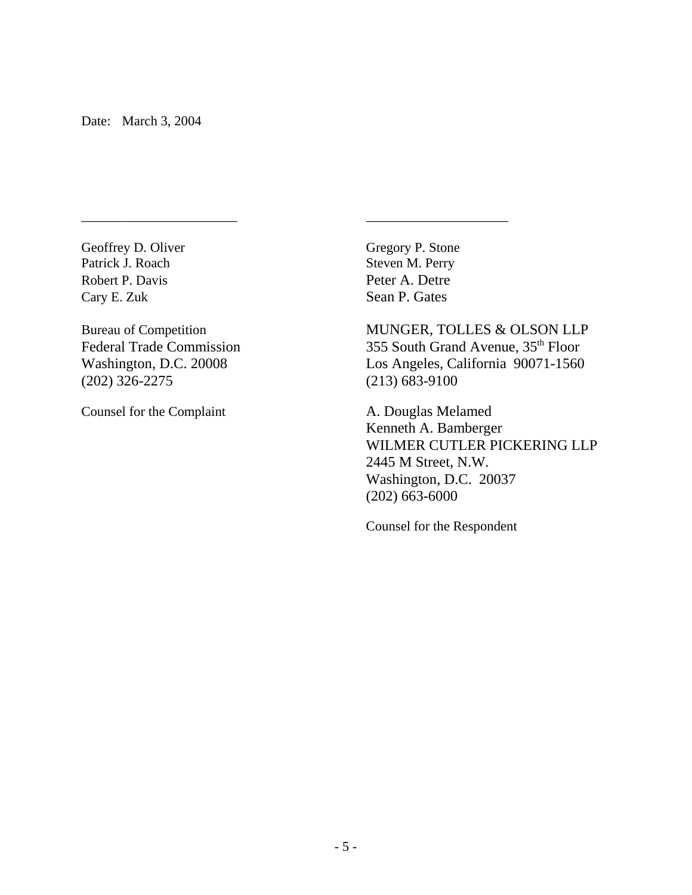Patrick J. Roach Steven M. Perry Robert P. Davis Peter A. Detre Cary E. Zuk Sean P. Gates

(202) 326-2275 (213) 683-9100

Counsel for the Complaint A. Douglas Melamed

Geoffrey D. Oliver Gregory P. Stone

\_\_\_\_\_\_\_\_\_\_\_\_\_\_\_\_\_\_\_\_\_\_\_ \_\_\_\_\_\_\_\_\_\_\_\_\_\_\_\_\_\_\_\_\_

Bureau of Competition MUNGER, TOLLES & OLSON LLP Federal Trade Commission 355 South Grand Avenue, 35<sup>th</sup> Floor Washington, D.C. 20008 Los Angeles, California 90071-1560

> Kenneth A. Bamberger WILMER CUTLER PICKERING LLP 2445 M Street, N.W. Washington, D.C. 20037 (202) 663-6000

Counsel for the Respondent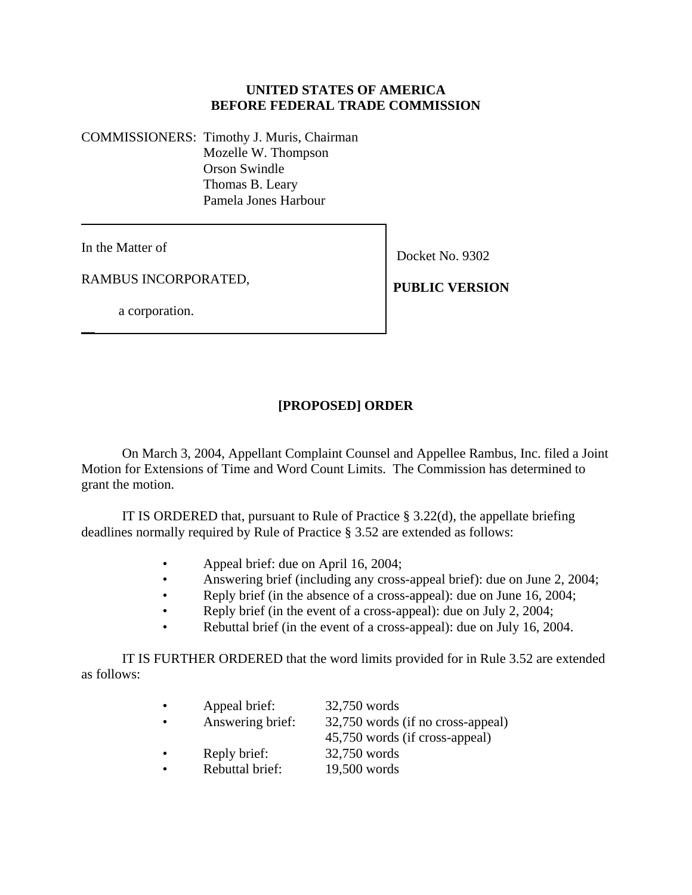## **UNITED STATES OF AMERICA BEFORE FEDERAL TRADE COMMISSION**

COMMISSIONERS: Timothy J. Muris, Chairman Mozelle W. Thompson Orson Swindle Thomas B. Leary Pamela Jones Harbour

In the Matter of

 $\overline{\phantom{a}}$ 

RAMBUS INCORPORATED,

Docket No. 9302

**PUBLIC VERSION**

a corporation.

# **[PROPOSED] ORDER**

On March 3, 2004, Appellant Complaint Counsel and Appellee Rambus, Inc. filed a Joint Motion for Extensions of Time and Word Count Limits. The Commission has determined to grant the motion.

IT IS ORDERED that, pursuant to Rule of Practice  $\S 3.22(d)$ , the appellate briefing deadlines normally required by Rule of Practice § 3.52 are extended as follows:

- Appeal brief: due on April 16, 2004;
- Answering brief (including any cross-appeal brief): due on June 2, 2004;
- Reply brief (in the absence of a cross-appeal): due on June 16, 2004;
- Reply brief (in the event of a cross-appeal): due on July 2, 2004;
- Rebuttal brief (in the event of a cross-appeal): due on July 16, 2004.

IT IS FURTHER ORDERED that the word limits provided for in Rule 3.52 are extended as follows:

| $\bullet$ | Appeal brief:    | 32,750 words                      |
|-----------|------------------|-----------------------------------|
|           | Answering brief: | 32,750 words (if no cross-appeal) |
|           |                  | 45,750 words (if cross-appeal)    |
|           | Reply brief:     | 32,750 words                      |
|           | Rebuttal brief:  | 19,500 words                      |